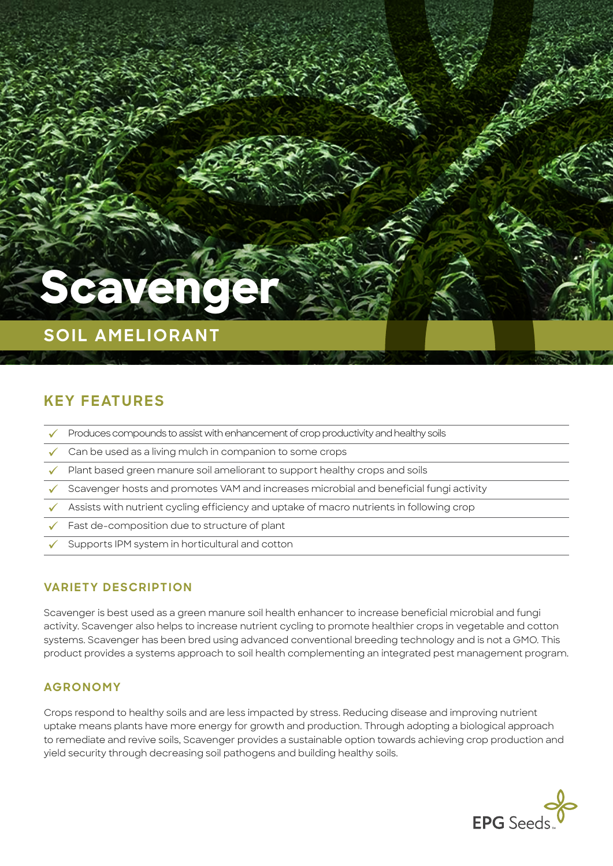# **Scaveng**

## **SOIL AMELIORANT**

## **KEY FEATURES**

- Produces compounds to assist with enhancement of crop productivity and healthy soils
- $\sim$  Can be used as a living mulch in companion to some crops
- ü Plant based green manure soil ameliorant to support healthy crops and soils
- ü Scavenger hosts and promotes VAM and increases microbial and beneficial fungi activity
- $\sim$  Assists with nutrient cycling efficiency and uptake of macro nutrients in following crop
- Fast de-composition due to structure of plant
- Supports IPM system in horticultural and cotton

#### **VARIETY DESCRIPTION**

Scavenger is best used as a green manure soil health enhancer to increase beneficial microbial and fungi activity. Scavenger also helps to increase nutrient cycling to promote healthier crops in vegetable and cotton systems. Scavenger has been bred using advanced conventional breeding technology and is not a GMO. This product provides a systems approach to soil health complementing an integrated pest management program.

#### **AGRONOMY**

Crops respond to healthy soils and are less impacted by stress. Reducing disease and improving nutrient uptake means plants have more energy for growth and production. Through adopting a biological approach to remediate and revive soils, Scavenger provides a sustainable option towards achieving crop production and yield security through decreasing soil pathogens and building healthy soils.